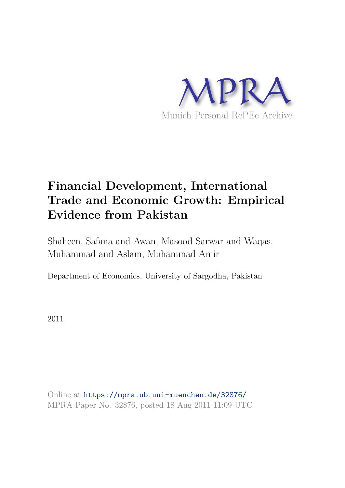

# **Financial Development, International Trade and Economic Growth: Empirical Evidence from Pakistan**

Shaheen, Safana and Awan, Masood Sarwar and Waqas, Muhammad and Aslam, Muhammad Amir

Department of Economics, University of Sargodha, Pakistan

2011

Online at https://mpra.ub.uni-muenchen.de/32876/ MPRA Paper No. 32876, posted 18 Aug 2011 11:09 UTC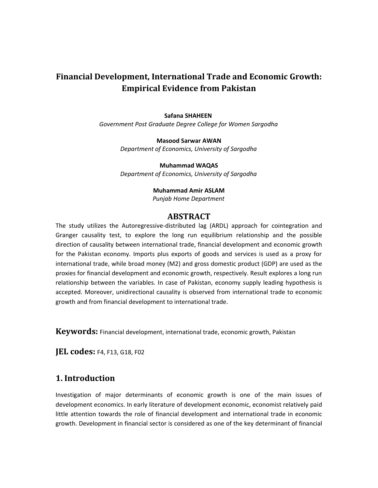## **Financial Development, International Trade and Economic Growth: Empirical Evidence from Pakistan**

#### **Safana SHAHEEN**

*Government Post Graduate Degree College for Women Sargodha*

**Masood Sarwar AWAN** *Department of Economics, University of Sargodha*

**Muhammad WAQAS** *Department of Economics, University of Sargodha*

#### **Muhammad Amir ASLAM**

*Punjab Home Department*

#### **ABSTRACT**

The study utilizes the Autoregressive-distributed lag (ARDL) approach for cointegration and Granger causality test, to explore the long run equilibrium relationship and the possible direction of causality between international trade, financial development and economic growth for the Pakistan economy. Imports plus exports of goods and services is used as a proxy for international trade, while broad money (M2) and gross domestic product (GDP) are used as the proxies for financial development and economic growth, respectively. Result explores a long run relationship between the variables. In case of Pakistan, economy supply leading hypothesis is accepted. Moreover, unidirectional causality is observed from international trade to economic growth and from financial development to international trade.

**Keywords:** Financial development, international trade, economic growth, Pakistan

**JEL codes:** F4, F13, G18, F02

## **1. Introduction**

Investigation of major determinants of economic growth is one of the main issues of development economics. In early literature of development economic, economist relatively paid little attention towards the role of financial development and international trade in economic growth. Development in financial sector is considered as one of the key determinant of financial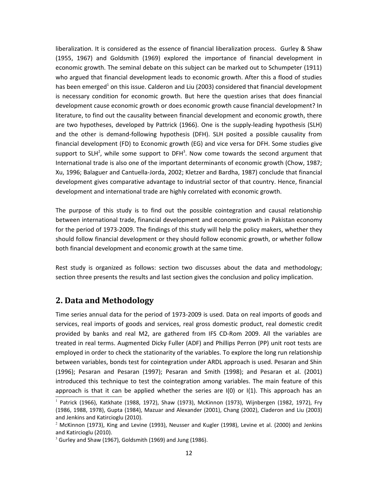liberalization. It is considered as the essence of financial liberalization process. Gurley & Shaw (1955, 1967) and Goldsmith (1969) explored the importance of financial development in economic growth. The seminal debate on this subject can be marked out to Schumpeter (1911) who argued that financial development leads to economic growth. After this a flood of studies has been emerged<sup>1</sup> on this issue. Calderon and Liu (2003) considered that financial development is necessary condition for economic growth. But here the question arises that does financial development cause economic growth or does economic growth cause financial development? In literature, to find out the causality between financial development and economic growth, there are two hypotheses, developed by Pattrick (1966). One is the supply-leading hypothesis (SLH) and the other is demand-following hypothesis (DFH). SLH posited a possible causality from financial development (FD) to Economic growth (EG) and vice versa for DFH. Some studies give support to SLH<sup>2</sup>, while some support to DFH<sup>3</sup>. Now come towards the second argument that International trade is also one of the important determinants of economic growth (Chow, 1987; Xu, 1996; Balaguer and Cantuella-Jorda, 2002; Kletzer and Bardha, 1987) conclude that financial development gives comparative advantage to industrial sector of that country. Hence, financial development and international trade are highly correlated with economic growth.

The purpose of this study is to find out the possible cointegration and causal relationship between international trade, financial development and economic growth in Pakistan economy for the period of 1973-2009. The findings of this study will help the policy makers, whether they should follow financial development or they should follow economic growth, or whether follow both financial development and economic growth at the same time.

Rest study is organized as follows: section two discusses about the data and methodology; section three presents the results and last section gives the conclusion and policy implication.

## **2. Data and Methodology**

Time series annual data for the period of 1973-2009 is used. Data on real imports of goods and services, real imports of goods and services, real gross domestic product, real domestic credit provided by banks and real M2, are gathered from IFS CD-Rom 2009. All the variables are treated in real terms. Augmented Dicky Fuller (ADF) and Phillips Perron (PP) unit root tests are employed in order to check the stationarity of the variables. To explore the long run relationship between variables, bonds test for cointegration under ARDL approach is used. Pesaran and Shin (1996); Pesaran and Pesaran (1997); Pesaran and Smith (1998); and Pesaran et al. (2001) introduced this technique to test the cointegration among variables. The main feature of this approach is that it can be applied whether the series are  $I(0)$  or  $I(1)$ . This approach has an

<sup>1</sup> Patrick (1966), Katkhate (1988, 1972), Shaw (1973), McKinnon (1973), Wijnbergen (1982, 1972), Fry (1986, 1988, 1978), Gupta (1984), Mazuar and Alexander (2001), Chang (2002), Claderon and Liu (2003) and Jenkins and Katircioglu (2010).

 $^2$  McKinnon (1973), King and Levine (1993), Neusser and Kugler (1998), Levine et al. (2000) and Jenkins and Katircioglu (2010).

 $3$  Gurley and Shaw (1967), Goldsmith (1969) and Jung (1986).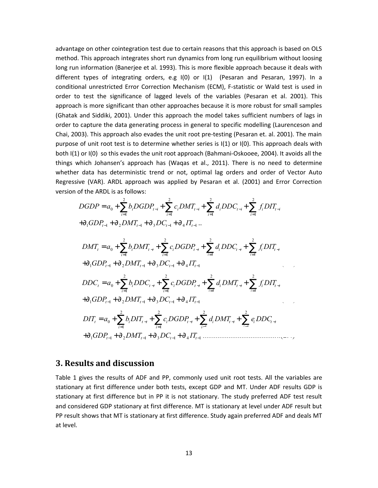advantage on other cointegration test due to certain reasons that this approach is based on OLS method. This approach integrates short run dynamics from long run equilibrium without loosing long run information (Banerjee et al. 1993). This is more flexible approach because it deals with different types of integrating orders, e.g I(0) or I(1) (Pesaran and Pesaran, 1997). In a conditional unrestricted Error Correction Mechanism (ECM), F-statistic or Wald test is used in order to test the significance of lagged levels of the variables (Pesaran et al. 2001). This approach is more significant than other approaches because it is more robust for small samples (Ghatak and Siddiki, 2001). Under this approach the model takes sufficient numbers of lags in order to capture the data generating process in general to specific modelling (Laurenceson and Chai, 2003). This approach also evades the unit root pre-testing (Pesaran et. al. 2001). The main purpose of unit root test is to determine whether series is I(1) or I(0). This approach deals with both I(1) or I(0) so this evades the unit root approach (Bahmani-Oskooee, 2004). It avoids all the things which Johansen's approach has (Waqas et al., 2011). There is no need to determine whether data has deterministic trend or not, optimal lag orders and order of Vector Auto Regressive (VAR). ARDL approach was applied by Pesaran et al. (2001) and Error Correction version of the ARDL is as follows:

$$
DGDP = a_0 + \sum_{i=1}^{2} b_i DGDP_{t-i} + \sum_{i=1}^{2} c_i DMT_{t-i} + \sum_{i=1}^{2} d_i DDC_{t-i} + \sum_{i=1}^{2} f_i DIT_{t-i}
$$
  
\n
$$
+ \partial_1 GDP_{t-1} + \partial_2 DMT_{t-1} + \partial_3 DC_{t-1} + \partial_4 IT_{t-1} ...
$$
  
\n
$$
DMT_t = a_0 + \sum_{i=1}^{2} b_i DMT_{t-i} + \sum_{i=1}^{2} c_i DGDP_{t-i} + \sum_{i=1}^{2} d_i DDC_{t-i} + \sum_{i=1}^{2} f_i DIT_{t-i}
$$
  
\n
$$
+ \partial_1 GDP_{t-1} + \partial_2 DMT_{t-1} + \partial_3 DC_{t-1} + \partial_4 IT_{t-1}
$$
  
\n
$$
DDC_t = a_0 + \sum_{i=1}^{2} b_i DDC_{t-i} + \sum_{i=1}^{2} c_i DGDP_{t-i} + \sum_{i=1}^{2} d_i DMT_{t-i} + \sum_{i=1}^{2} f_i DIT_{t-i}
$$
  
\n
$$
+ \partial_1 GDP_{t-1} + \partial_2 DMT_{t-1} + \partial_3 DC_{t-1} + \partial_4 IT_{t-1} ...
$$
  
\n
$$
DIT_t = a_0 + \sum_{i=1}^{2} b_i DIT_{t-i} + \sum_{i=1}^{2} c_i DGDP_{t-i} + \sum_{i=1}^{2} d_i DMT_{t-i} + \sum_{i=1}^{2} e_i DDC_{t-i}
$$
  
\n
$$
+ \partial_1 GDP_{t-1} + \partial_2 DMT_{t-1} + \partial_3 DC_{t-1} + \partial_4 IT_{t-1} ... ...
$$

### **3. Results and discussion**

Table 1 gives the results of ADF and PP, commonly used unit root tests. All the variables are stationary at first difference under both tests, except GDP and MT. Under ADF results GDP is stationary at first difference but in PP it is not stationary. The study preferred ADF test result and considered GDP stationary at first difference. MT is stationary at level under ADF result but PP result shows that MT is stationary at first difference. Study again preferred ADF and deals MT at level.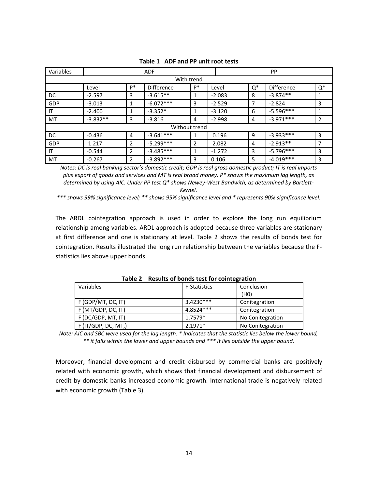| Variables     | <b>ADF</b> |    |                   |    | <b>PP</b> |       |             |       |
|---------------|------------|----|-------------------|----|-----------|-------|-------------|-------|
|               |            |    | With trend        |    |           |       |             |       |
|               | Level      | P* | <b>Difference</b> | P* | Level     | $Q^*$ | Difference  | $Q^*$ |
| DC            | $-2.597$   | 3  | $-3.615**$        |    | $-2.083$  | 8     | $-3.874**$  | 1     |
| GDP           | $-3.013$   | 1  | $-6.072***$       | 3  | $-2.529$  | 7     | $-2.824$    | 3     |
| IT            | $-2.400$   | 1  | $-3.352*$         |    | $-3.120$  | 6     | $-5.596***$ | 1     |
| <b>MT</b>     | $-3.832**$ | 3  | $-3.816$          | 4  | $-2.998$  | 4     | $-3.971***$ | 2     |
| Without trend |            |    |                   |    |           |       |             |       |
| DC.           | $-0.436$   | 4  | $-3.641***$       |    | 0.196     | 9     | $-3.933***$ | 3     |
| GDP           | 1.217      | 2  | $-5.299***$       | 2  | 2.082     | 4     | $-2.913**$  | 7     |
| IT            | $-0.544$   | 2  | $-3.485***$       |    | $-1.272$  | 3     | $-5.796***$ | 3     |
| MT            | $-0.267$   | 2  | $-3.892***$       | 3  | 0.106     | 5     | $-4.019***$ | 3     |

**Table 1 ADF and PP unit root tests**

*Notes: DC is real banking sector's domestic credit; GDP is real gross domestic product; IT is real imports plus export of goods and services and MT is real broad money. P\* shows the maximum lag length, as determined by using AIC. Under PP test Q\* shows Newey-West Bandwith, as determined by Bartlett-Kernel.*

*\*\*\* shows 99% significance level; \*\* shows 95% significance level and \* represents 90% significance level.*

The ARDL cointegration approach is used in order to explore the long run equilibrium relationship among variables. ARDL approach is adopted because three variables are stationary at first difference and one is stationary at level. Table 2 shows the results of bonds test for cointegration. Results illustrated the long run relationship between the variables because the Fstatistics lies above upper bonds.

| Variables             | <b>F-Statistics</b> | Conclusion       |  |
|-----------------------|---------------------|------------------|--|
|                       |                     | (HO)             |  |
| F (GDP/MT, DC, IT)    | $3.4230***$         | Conitegration    |  |
| F (MT/GDP, DC, IT)    | 4.8524***           | Conitegration    |  |
| F (DC/GDP, MT, IT)    | $1.7579*$           | No Conitegration |  |
| $F$ (IT/GDP, DC, MT,) | $2.1971*$           | No Conitegration |  |

**Table 2 Results of bonds test for cointegration**

*Note: AIC and SBC were used for the lag length. \* Indicates that the statistic lies below the lower bound, \*\* it falls within the lower and upper bounds and \*\*\* it lies outside the upper bound.*

Moreover, financial development and credit disbursed by commercial banks are positively related with economic growth, which shows that financial development and disbursement of credit by domestic banks increased economic growth. International trade is negatively related with economic growth (Table 3).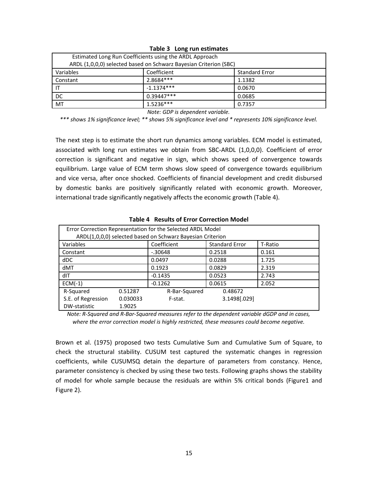| Estimated Long Run Coefficients using the ARDL Approach           |              |                       |  |  |
|-------------------------------------------------------------------|--------------|-----------------------|--|--|
| ARDL (1,0,0,0) selected based on Schwarz Bayesian Criterion (SBC) |              |                       |  |  |
| Variables                                                         | Coefficient  | <b>Standard Error</b> |  |  |
| Constant                                                          | 2.8684 ***   | 1.1382                |  |  |
| . IT                                                              | $-1.1374***$ | 0.0670                |  |  |
| DC.                                                               | $0.39447***$ | 0.0685                |  |  |
| MT                                                                | $1.5236***$  | 0.7357                |  |  |

**Table 3 Long run estimates**

*Note: GDP is dependent variable.*

*\*\*\* shows 1% significance level; \*\* shows 5% significance level and \* represents 10% significance level.*

The next step is to estimate the short run dynamics among variables. ECM model is estimated, associated with long run estimates we obtain from SBC-ARDL (1,0,0,0). Coefficient of error correction is significant and negative in sign, which shows speed of convergence towards equilibrium. Large value of ECM term shows slow speed of convergence towards equilibrium and vice versa, after once shocked. Coefficients of financial development and credit disbursed by domestic banks are positively significantly related with economic growth. Moreover, international trade significantly negatively affects the economic growth (Table 4).

| וטאוט די הכפטונט טו בווטו כטווכננוטוו וויוטטכו              |         |               |                       |         |  |  |
|-------------------------------------------------------------|---------|---------------|-----------------------|---------|--|--|
| Error Correction Representation for the Selected ARDL Model |         |               |                       |         |  |  |
| ARDL(1,0,0,0) selected based on Schwarz Bayesian Criterion  |         |               |                       |         |  |  |
| Variables                                                   |         | Coefficient   | <b>Standard Error</b> | T-Ratio |  |  |
| Constant                                                    |         | $-0.30648$    | 0.2518                | 0.161   |  |  |
| dDC                                                         |         | 0.0497        | 0.0288                | 1.725   |  |  |
| dMT                                                         |         | 0.1923        | 0.0829                | 2.319   |  |  |
| dIT                                                         |         | $-0.1435$     | 0.0523                | 2.743   |  |  |
| $ECM(-1)$                                                   |         | $-0.1262$     | 0.0615                | 2.052   |  |  |
| R-Squared                                                   | 0.51287 | R-Bar-Squared | 0.48672               |         |  |  |
| S.E. of Regression<br>0.030033                              |         | F-stat.       | 3.1498[.029]          |         |  |  |
| DW-statistic                                                | 1.9025  |               |                       |         |  |  |

#### **Table 4 Results of Error Correction Model**

*Note: R-Squared and R-Bar-Squared measures refer to the dependent variable dGDP and in cases, where the error correction model is highly restricted, these measures could become negative.*

Brown et al. (1975) proposed two tests Cumulative Sum and Cumulative Sum of Square, to check the structural stability. CUSUM test captured the systematic changes in regression coefficients, while CUSUMSQ detain the departure of parameters from constancy. Hence, parameter consistency is checked by using these two tests. Following graphs shows the stability of model for whole sample because the residuals are within 5% critical bonds (Figure1 and Figure 2).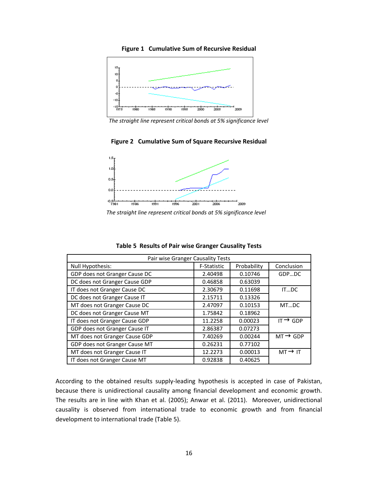

**Figure 1 Cumulative Sum of Recursive Residual**

*The straight line represent critical bonds at 5% significance level*

#### **Figure 2 Cumulative Sum of Square Recursive Residual**



*The straight line represent critical bonds at 5% significance level*

| Pair wise Granger Causality Tests |             |             |                      |  |  |
|-----------------------------------|-------------|-------------|----------------------|--|--|
| Null Hypothesis:                  | F-Statistic | Probability | Conclusion           |  |  |
| GDP does not Granger Cause DC     | 2.40498     | 0.10746     | GDPDC                |  |  |
| DC does not Granger Cause GDP     | 0.46858     | 0.63039     |                      |  |  |
| IT does not Granger Cause DC      | 2.30679     | 0.11698     | ITDC                 |  |  |
| DC does not Granger Cause IT      | 2.15711     | 0.13326     |                      |  |  |
| MT does not Granger Cause DC      | 2.47097     | 0.10153     | MTDC                 |  |  |
| DC does not Granger Cause MT      | 1.75842     | 0.18962     |                      |  |  |
| IT does not Granger Cause GDP     | 11.2258     | 0.00023     | IT $\rightarrow$ GDP |  |  |
| GDP does not Granger Cause IT     | 2.86387     | 0.07273     |                      |  |  |
| MT does not Granger Cause GDP     | 7.40269     | 0.00244     | $MT \rightarrow GDP$ |  |  |
| GDP does not Granger Cause MT     | 0.26231     | 0.77102     |                      |  |  |
| MT does not Granger Cause IT      | 12.2273     | 0.00013     | $MT \rightarrow IT$  |  |  |
| IT does not Granger Cause MT      | 0.92838     | 0.40625     |                      |  |  |

**Table 5 Results of Pair wise Granger Causality Tests**

According to the obtained results supply-leading hypothesis is accepted in case of Pakistan, because there is unidirectional causality among financial development and economic growth. The results are in line with Khan et al. (2005); Anwar et al. (2011). Moreover, unidirectional causality is observed from international trade to economic growth and from financial development to international trade (Table 5).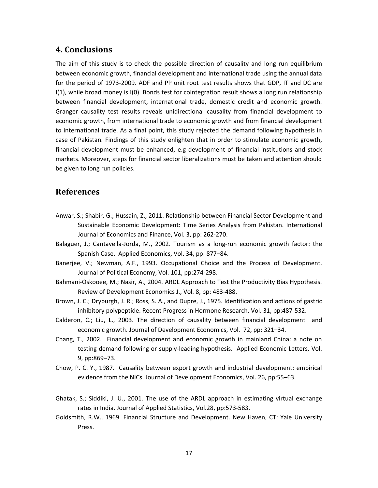## **4. Conclusions**

The aim of this study is to check the possible direction of causality and long run equilibrium between economic growth, financial development and international trade using the annual data for the period of 1973-2009. ADF and PP unit root test results shows that GDP, IT and DC are I(1), while broad money is I(0). Bonds test for cointegration result shows a long run relationship between financial development, international trade, domestic credit and economic growth. Granger causality test results reveals unidirectional causality from financial development to economic growth, from international trade to economic growth and from financial development to international trade. As a final point, this study rejected the demand following hypothesis in case of Pakistan. Findings of this study enlighten that in order to stimulate economic growth, financial development must be enhanced, e.g development of financial institutions and stock markets. Moreover, steps for financial sector liberalizations must be taken and attention should be given to long run policies.

#### **References**

- Anwar, S.; Shabir, G.; Hussain, Z., 2011. Relationship between Financial Sector Development and Sustainable Economic Development: Time Series Analysis from Pakistan. International Journal of Economics and Finance, Vol. 3, pp: 262-270.
- Balaguer, J.; Cantavella-Jorda, M., 2002. Tourism as a long-run economic growth factor: the Spanish Case. Applied Economics, Vol. 34, pp: 877–84.
- Banerjee, V.; Newman, A.F., 1993. Occupational Choice and the Process of Development. Journal of Political Economy, Vol. 101, pp:274-298.
- Bahmani-Oskooee, M.; Nasir, A., 2004. ARDL Approach to Test the Productivity Bias Hypothesis. Review of Development Economics J., Vol. 8, pp: 483-488.
- Brown, J. C.; Dryburgh, J. R.; Ross, S. A., and Dupre, J., 1975. Identification and actions of gastric inhibitory polypeptide. Recent Progress in Hormone Research, Vol. 31, pp:487-532.
- Calderon, C.; Liu, L., 2003. The direction of causality between financial development and economic growth. Journal of Development Economics, Vol. 72, pp: 321–34.
- Chang, T., 2002. Financial development and economic growth in mainland China: a note on testing demand following or supply-leading hypothesis. Applied Economic Letters, Vol. 9, pp:869–73.
- Chow, P. C. Y., 1987. Causality between export growth and industrial development: empirical evidence from the NICs. Journal of Development Economics, Vol. 26, pp:55–63.
- Ghatak, S.; Siddiki, J. U., 2001. The use of the ARDL approach in estimating virtual exchange rates in India. Journal of Applied Statistics, Vol.28, pp:573-583.
- Goldsmith, R.W., 1969. Financial Structure and Development. New Haven, CT: Yale University Press.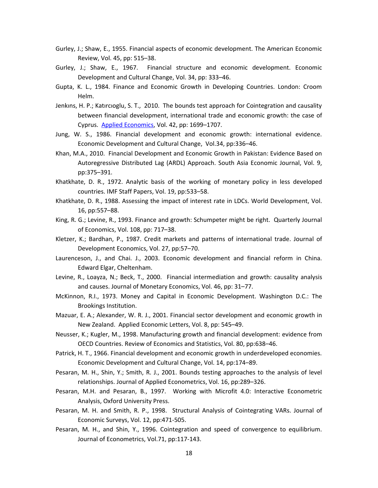- Gurley, J.; Shaw, E., 1955. Financial aspects of economic development. The American Economic Review, Vol. 45, pp: 515–38.
- Gurley, J.; Shaw, E., 1967. Financial structure and economic development. Economic Development and Cultural Change, Vol. 34, pp: 333–46.
- Gupta, K. L., 1984. Finance and Economic Growth in Developing Countries. London: Croom Helm.
- Jenkıns, H. P.; Katırcıoglu, S. T., 2010. The bounds test approach for Cointegration and causality between financial development, international trade and economic growth: the case of Cyprus. Applied Economics, Vol. 42, pp: 1699–1707.
- Jung, W. S., 1986. Financial development and economic growth: international evidence. Economic Development and Cultural Change, Vol.34, pp:336–46.
- Khan, M.A., 2010. Financial Development and Economic Growth in Pakistan: Evidence Based on Autoregressive Distributed Lag (ARDL) Approach. South Asia Economic Journal, Vol. 9, pp:375–391.
- Khatkhate, D. R., 1972. Analytic basis of the working of monetary policy in less developed countries. IMF Staff Papers, Vol. 19, pp:533–58.
- Khatkhate, D. R., 1988. Assessing the impact of interest rate in LDCs. World Development, Vol. 16, pp:557–88.
- King, R. G.; Levine, R., 1993. Finance and growth: Schumpeter might be right. Quarterly Journal of Economics, Vol. 108, pp: 717–38.
- Kletzer, K.; Bardhan, P., 1987. Credit markets and patterns of international trade. Journal of Development Economics, Vol. 27, pp:57–70.
- Laurenceson, J., and Chai. J., 2003. Economic development and financial reform in China. Edward Elgar, Cheltenham.
- Levine, R., Loayza, N.; Beck, T., 2000. Financial intermediation and growth: causality analysis and causes. Journal of Monetary Economics, Vol. 46, pp: 31–77.
- McKinnon, R.I., 1973. Money and Capital in Economic Development. Washington D.C.: The Brookings Institution.
- Mazuar, E. A.; Alexander, W. R. J., 2001. Financial sector development and economic growth in New Zealand. Applied Economic Letters, Vol. 8, pp: 545–49.
- Neusser, K.; Kugler, M., 1998. Manufacturing growth and financial development: evidence from OECD Countries. Review of Economics and Statistics, Vol. 80, pp:638–46.
- Patrick, H. T., 1966. Financial development and economic growth in underdeveloped economies. Economic Development and Cultural Change, Vol. 14, pp:174–89.
- Pesaran, M. H., Shin, Y.; Smith, R. J., 2001. Bounds testing approaches to the analysis of level relationships. Journal of Applied Econometrics, Vol. 16, pp:289–326.
- Pesaran, M.H. and Pesaran, B., 1997. Working with Microfit 4.0: Interactive Econometric Analysis, Oxford University Press.
- Pesaran, M. H. and Smith, R. P., 1998. Structural Analysis of Cointegrating VARs. Journal of Economic Surveys, Vol. 12, pp:471-505.
- Pesaran, M. H., and Shin, Y., 1996. Cointegration and speed of convergence to equilibrium. Journal of Econometrics, Vol.71, pp:117-143.